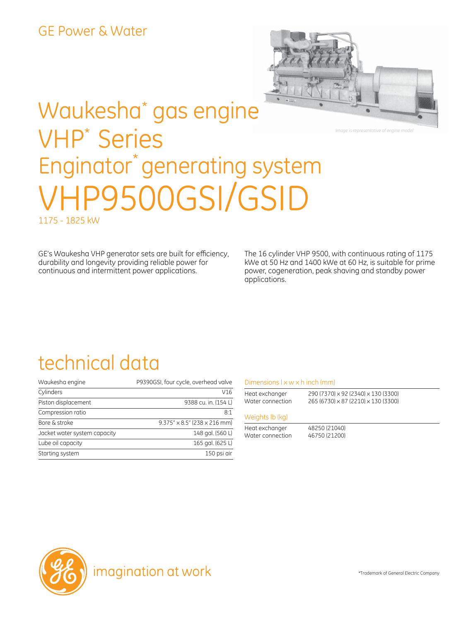

*Image is representative of engine model*

# Waukesha\* gas engine VHP\* Series Enginator<sup>\*</sup> generating system VHP9500GSI/GSID 1175 - 1825 kW

GE's Waukesha VHP generator sets are built for efficiency, durability and longevity providing reliable power for continuous and intermittent power applications.

The 16 cylinder VHP 9500, with continuous rating of 1175 kWe at 50 Hz and 1400 kWe at 60 Hz, is suitable for prime power, cogeneration, peak shaving and standby power applications.

### technical data

| Waukesha engine              | P9390GSI, four cycle, overhead valve         |
|------------------------------|----------------------------------------------|
| Cylinders                    | V16                                          |
| Piston displacement          | 9388 cu. in. (154 L)                         |
| Compression ratio            | 8:1                                          |
| Bore & stroke                | $9.375'' \times 8.5''$ (238 $\times$ 216 mm) |
| Jacket water system capacity | 148 gal. (560 L)                             |
| Lube oil capacity            | 165 gal. (625 L)                             |
| Starting system              | 150 psi air                                  |

#### Dimensions  $l \times w \times h$  inch (mm)

| Heat exchanger   | 290 (7370) × 92 (2340) × 130 (3300) |
|------------------|-------------------------------------|
| Water connection | 265 (6730) × 87 (2210) × 130 (3300) |
| Weights Ib (kg)  |                                     |
| Heat exchanger   | 48250 (21040)                       |
| Water connection | 46750 (21200)                       |